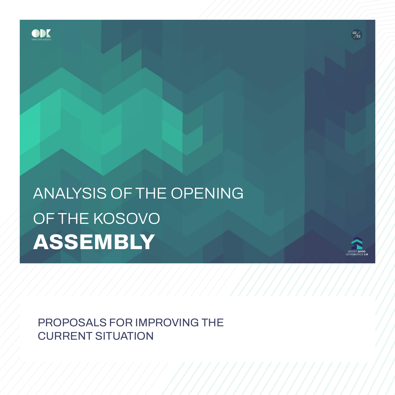**PROPOSALS FOR IMPROVING THE CURRENT SITUATION**

# **ANALYSIS OF THE OPENING OF THE KOSOVO ASSEMBLY**





BOOST **GOOD** GOVE NANCE **2.0**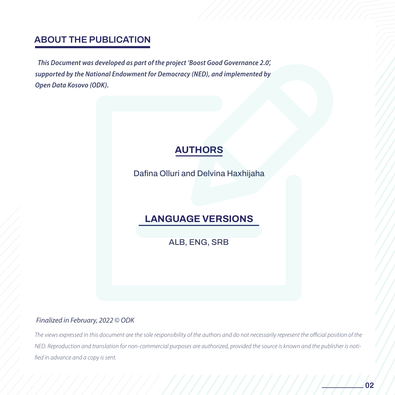## **ABOUT THE PUBLICATION**

This Document was developed as part of the project 'Boost Good Governance 2.0', supported by the National Endowment for Democracy (NED), and implemented by **Open Data Kosovo (ODK).** 

# **AUTHORS**

**Dafina Olluri and Delvina Haxhijaha** 

# SË KUVENDIT NË KUVENDIT NË KUVENDIT NË KUVENDIT NË KUVENDIT NË KUVENDIT NË KUVENDIT NË KUVENDIT NË KUVENDIT NË<br>SERIES E SERIES E SERIES E SERIES E SERIES E SERIES E SERIES E SERIES E SERIES E SERIES E SERIES E SERIES E SE **LANGUAGE VERSIONS**

**ALB, ENG, SRB**

#### Finalized in February, 2022 © ODK

The views expressed in this document are the sole responsibility of the authors and do not necessarily represent the official position of the NED. Reproduction and translation for non-commercial purposes are authorized, provided the source is known and the publisher is notified in advance and a copy is sent.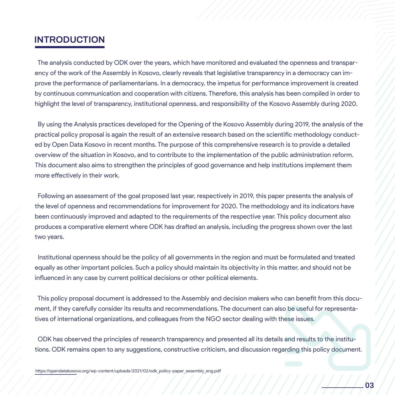#### **INTRODUCTION**

 The analysis conducted by ODK over the years, which have monitored and evaluated the openness and transparency of the work of the Assembly in Kosovo, clearly reveals that legislative transparency in a democracy can improve the performance of parliamentarians. In a democracy, the impetus for performance improvement is created by continuous communication and cooperation with citizens. Therefore, this analysis has been compiled in order to highlight the level of transparency, institutional openness, and responsibility of the Kosovo Assembly during 2020.

 By using the Analysis practices developed for the Opening of the Kosovo Assembly during 2019, the analysis of the practical policy proposal is again the result of an extensive research based on the scientific methodology conducted by Open Data Kosovo in recent months. The purpose of this comprehensive research is to provide a detailed overview of the situation in Kosovo, and to contribute to the implementation of the public administration reform. This document also aims to strengthen the principles of good governance and help institutions implement them more effectively in their work.

 $\frac{1}{2}$ the level of openness and recommendations for improvement for 2020. The methodology and its indicators have<br>been continuously improved and adapted to the requirements of the respective year. This policy document also produces a comparative element where ODK has drafted an analysis, including the progress shown over the last<br>two years. Following an assessment of the goal proposed last year, respectively in 2019, this paper presents the analysis of been continuously improved and adapted to the requirements of the respective year. This policy document also two years.

 Institutional openness should be the policy of all governments in the region and must be formulated and treated equally as other important policies. Such a policy should maintain its objectivity in this matter, and should not be influenced in any case by current political decisions or other political elements.

policy proposal document is ad<br>if they carefully consider its re This policy proposal document is addressed to the Assembly and decision makers who can benefit from this document, if they carefully consider its results and recommendations. The document can also be useful for representatives of international organizations, and colleagues from the NGO sector dealing with these issues.

 ODK has observed the principles of research transparency and presented all its details and results to the institutions. ODK remains open to any suggestions, constructive criticism, and discussion regarding this policy document.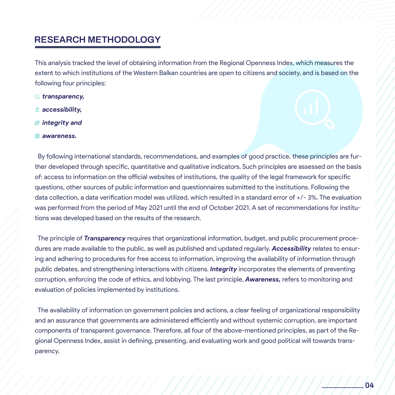## **RESEARCH METHODOLOGY**

This analysis tracked the level of obtaining information from the Regional Openness Index, which measures the extent to which institutions of the Western Balkan countries are open to citizens and society, and is based on the following four principles:

- *transparency,*
- *accessibility,*
- *integrity and*
- *awareness.*

questions, other sources of public information and was performed from the period of May 2021 until<br>tions was developed based on the results of the r By following international standards, recommendations, and examples of good practice, these principles are further developed through specific, quantitative and qualitative indicators. Such principles are assessed on the basis of: access to information on the official websites of institutions, the quality of the legal framework for specific questions, other sources of public information and questionnaires submitted to the institutions. Following the data collection, a data verification model was utilized, which resulted in a standard error of +/- 3%. The evaluation was performed from the period of May 2021 until the end of October 2021. A set of recommendations for institutions was developed based on the results of the research.

The principle of **Transparency** red The principle of *Transparency* requires that organizational information, budget, and public procurement procedures are made available to the public, as well as published and updated regularly. *Accessibility* relates to ensuring and adhering to procedures for free access to information, improving the availability of information through public debates, and strengthening interactions with citizens. *Integrity* incorporates the elements of preventing corruption, enforcing the code of ethics, and lobbying. The last principle, *Awareness,* refers to monitoring and evaluation of policies implemented by institutions.

The availability of information on government policies and actions, a clear feeling of organizational responsibility and an assurance that governments are administered efficiently and without systemic corruption, are important components of transparent governance. Therefore, all four of the above-mentioned principles, as part of the Regional Openness Index, assist in defining, presenting, and evaluating work and good political will towards transparency.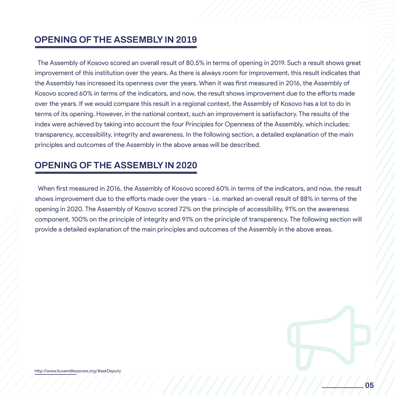## **OPENING OF THE ASSEMBLY IN 2019**

 The Assembly of Kosovo scored an overall result of 80.5% in terms of opening in 2019. Such a result shows great improvement of this institution over the years. As there is always room for improvement, this result indicates that the Assembly has increased its openness over the years. When it was first measured in 2016, the Assembly of Kosovo scored 60% in terms of the indicators, and now, the result shows improvement due to the efforts made over the years. If we would compare this result in a regional context, the Assembly of Kosovo has a lot to do in terms of its opening. However, in the national context, such an improvement is satisfactory. The results of the index were achieved by taking into account the four Principles for Openness of the Assembly, which includes: transparency, accessibility, integrity and awareness. In the following section, a detailed explanation of the main principles and outcomes of the Assembly in the above areas will be described.

#### **OPENING OF THE ASSEMBLY IN 2020**

When first measured in 2016, the Assembly of Kos opening in 2020. The Assembly of Kosovo scored<br>comparent, 100% on the principle of integrity on provide a detailed explanation of the When first measured in 2016, the Assembly of Kosovo scored 60% in terms of the indicators, and now, the result shows improvement due to the efforts made over the years - i.e. marked an overall result of 88% in terms of the opening in 2020. The Assembly of Kosovo scored 72% on the principle of accessibility, 91% on the awareness component, 100% on the principle of integrity and 91% on the principle of transparency. The following section will provide a detailed explanation of the main principles and outcomes of the Assembly in the above areas.

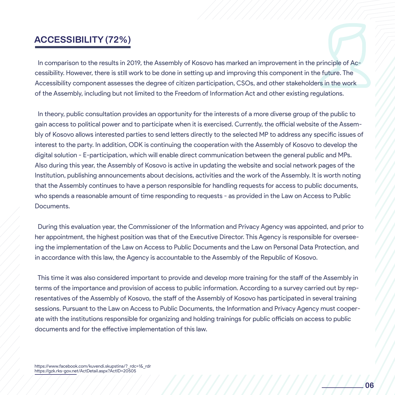### ACCESSIBILITY (72%)

In comparison to the results in 2019, the Assembly of Kosovo has marked an improvement in the principle of Accessibility. However, there is still work to be done in setting up and improving this component in the future. The Accessibility component assesses the degree of citizen participation, CSOs, and other stakeholders in the work of the Assembly, including but not limited to the Freedom of Information Act and other existing regulations.

that the Assembly continues to have a person responsible for handling requests for access to public documents,<br>who eneards a research la execute of time responsible to requests are provided in the Law on Access to Public **SECURENT NË KUVENDIT NË KUVENDIT NË KURËT NË KURËT NË KURËT NË KURËT NË KURËT NË KURËT NË KURËT NË KURËT NË KU<br>SË KUVENDIT NË KURËT NË KURËT NË KURËT NË KURËT NË KURËT NË KURËT NË KURËT NË KURËT NË KURËT NË KURËT NË KURËT**  In theory, public consultation provides an opportunity for the interests of a more diverse group of the public to gain access to political power and to participate when it is exercised. Currently, the official website of the Assembly of Kosovo allows interested parties to send letters directly to the selected MP to address any specific issues of interest to the party. In addition, ODK is continuing the cooperation with the Assembly of Kosovo to develop the digital solution - E-participation, which will enable direct communication between the general public and MPs. Also during this year, the Assembly of Kosovo is active in updating the website and social network pages of the Institution, publishing announcements about decisions, activities and the work of the Assembly. It is worth noting who spends a reasonable amount of time responding to requests - as provided in the Law on Access to Public Documents.

During this evaluation year, the Content appointment, the highest posit<br>ing the implementation of the Law During this evaluation year, the Commissioner of the Information and Privacy Agency was appointed, and prior to her appointment, the highest position was that of the Executive Director. This Agency is responsible for overseeing the implementation of the Law on Access to Public Documents and the Law on Personal Data Protection, and in accordance with this law, the Agency is accountable to the Assembly of the Republic of Kosovo.

atives of the Assembly of Kos<br>ns. Pursuant to the Law on Ac This time it was also considered important to provide and develop more training for the staff of the Assembly in terms of the importance and provision of access to public information. According to a survey carried out by representatives of the Assembly of Kosovo, the staff of the Assembly of Kosovo has participated in several training sessions. Pursuant to the Law on Access to Public Documents, the Information and Privacy Agency must cooperate with the institutions responsible for organizing and holding trainings for public officials on access to public documents and for the effective implementation of this law.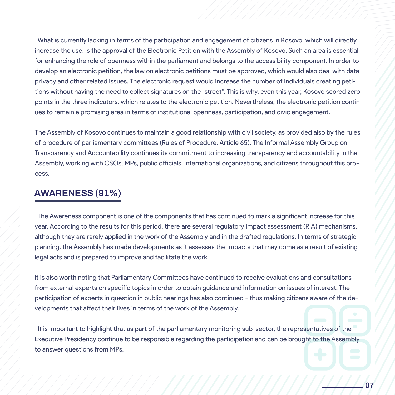What is currently lacking in terms of the participation and engagement of citizens in Kosovo, which will directly increase the use, is the approval of the Electronic Petition with the Assembly of Kosovo. Such an area is essential for enhancing the role of openness within the parliament and belongs to the accessibility component. In order to develop an electronic petition, the law on electronic petitions must be approved, which would also deal with data privacy and other related issues. The electronic request would increase the number of individuals creating petitions without having the need to collect signatures on the "street". This is why, even this year, Kosovo scored zero points in the three indicators, which relates to the electronic petition. Nevertheless, the electronic petition continues to remain a promising area in terms of institutional openness, participation, and civic engagement.

The Assembly of Kosovo continues to maintain a good relationship with civil society, as provided also by the rules of procedure of parliamentary committees (Rules of Procedure, Article 65). The Informal Assembly Group on Transparency and Accountability continues its commitment to increasing transparency and accountability in the Assembly, working with CSOs, MPs, public officials, international organizations, and citizens throughout this process.

#### **AWARENESS** (91%) **AWARENESS (91%)**

The Awareness component is one of the components that has continued to mark a significant increase for this<br>The Awareness component is one of the components that has continued to mark a significant increase for this year. According to the results for the<br>although they are rarely applied in the<br>planning the Assembly bas made of year. According to the results for this period, there are several regulatory impact assessment (RIA) mechanisms, although they are rarely applied in the work of the Assembly and in the drafted regulations. In terms of strategic planning, the Assembly has made developments as it assesses the impacts that may come as a result of existing legal acts and is prepared to improve and facilitate the work.

pation of experts in question i<br>nents that affect their lives in It is also worth noting that Parliamentary Committees have continued to receive evaluations and consultations from external experts on specific topics in order to obtain guidance and information on issues of interest. The participation of experts in question in public hearings has also continued - thus making citizens aware of the developments that affect their lives in terms of the work of the Assembly.

 It is important to highlight that as part of the parliamentary monitoring sub-sector, the representatives of the Executive Presidency continue to be responsible regarding the participation and can be brought to the Assembly to answer questions from MPs.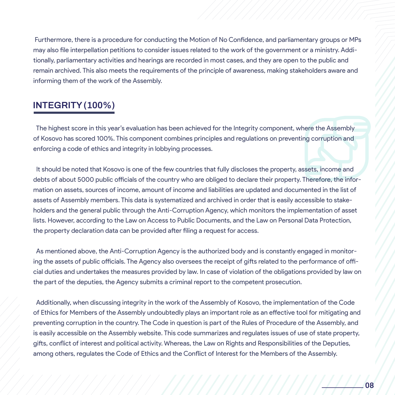Furthermore, there is a procedure for conducting the Motion of No Confidence, and parliamentary groups or MPs may also file interpellation petitions to consider issues related to the work of the government or a ministry. Additionally, parliamentary activities and hearings are recorded in most cases, and they are open to the public and remain archived. This also meets the requirements of the principle of awareness, making stakeholders aware and informing them of the work of the Assembly.

## **INTEGRITY (100%)**

 The highest score in this year's evaluation has been achieved for the Integrity component, where the Assembly of Kosovo has scored 100%. This component combines principles and regulations on preventing corruption and enforcing a code of ethics and integrity in lobbying processes.

debts of about 5000 public officials of the country who are obliged to declare their property. Therefore, the finor<br>mation on assets, sources of income, amount of income and liabilities are updated and documented in the li **SECUTE OF ACCURACY ACCURACY AND SECURE AND ACCURACY ACCURACY AND ACCURACY ACCURACY ACCURACY ACCURACY ACCURACY ACCURACY ACCURACY ACCURACY ACCURACY ACCURACY ACCURACY ACCURACY ACCURACY ACCURACY ACCURACY ACCURACY ACCURACY ACC** the property declaration data can b It should be noted that Kosovo is one of the few countries that fully discloses the property, assets, income and debts of about 5000 public officials of the country who are obliged to declare their property. Therefore, the inforassets of Assembly members. This data is systematized and archived in order that is easily accessible to stakeholders and the general public through the Anti-Corruption Agency, which monitors the implementation of asset lists. However, according to the Law on Access to Public Documents, and the Law on Personal Data Protection, the property declaration data can be provided after filing a request for access.

 As mentioned above, the Anti-Corruption Agency is the authorized body and is constantly engaged in monitoring the assets of public officials. The Agency also oversees the receipt of gifts related to the performance of official duties and undertakes the measures provided by law. In case of violation of the obligations provided by law on the part of the deputies, the Agency submits a criminal report to the competent prosecution.

onally, when discussing integrees for Members of the Assemi Additionally, when discussing integrity in the work of the Assembly of Kosovo, the implementation of the Code of Ethics for Members of the Assembly undoubtedly plays an important role as an effective tool for mitigating and preventing corruption in the country. The Code in question is part of the Rules of Procedure of the Assembly, and is easily accessible on the Assembly website. This code summarizes and regulates issues of use of state property, gifts, conflict of interest and political activity. Whereas, the Law on Rights and Responsibilities of the Deputies, among others, regulates the Code of Ethics and the Conflict of Interest for the Members of the Assembly.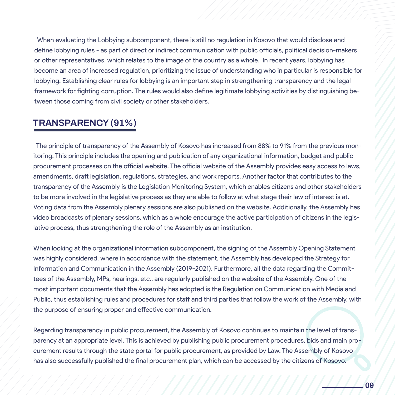When evaluating the Lobbying subcomponent, there is still no regulation in Kosovo that would disclose and define lobbying rules - as part of direct or indirect communication with public officials, political decision-makers or other representatives, which relates to the image of the country as a whole. In recent years, lobbying has become an area of increased regulation, prioritizing the issue of understanding who in particular is responsible for lobbying. Establishing clear rules for lobbying is an important step in strengthening transparency and the legal framework for fighting corruption. The rules would also define legitimate lobbying activities by distinguishing between those coming from civil society or other stakeholders.

### **TRANSPARENCY (91%)**

transparency of the Assembly is the Legislation Mo Voting data from the Assembly plenary sessions are also published on the website. Additionally, the Assembly has<br>Video broadcasts of plenary sessions, which as a whole encourage the active participation of citizens in the lative process, thus strengthening the role of the Assembly as an institution. The principle of transparency of the Assembly of Kosovo has increased from 88% to 91% from the previous monitoring. This principle includes the opening and publication of any organizational information, budget and public procurement processes on the official website. The official website of the Assembly provides easy access to laws, amendments, draft legislation, regulations, strategies, and work reports. Another factor that contributes to the transparency of the Assembly is the Legislation Monitoring System, which enables citizens and other stakeholders to be more involved in the legislative process as they are able to follow at what stage their law of interest is at. video broadcasts of plenary sessions, which as a whole encourage the active participation of citizens in the legis-

Public, thus establishing rules and procedures for staff and thir<br>the purpose of ensuring proper and effective communication. When looking at the organizational information subcomponent, the signing of the Assembly Opening Statement was highly considered, where in accordance with the statement, the Assembly has developed the Strategy for Information and Communication in the Assembly (2019-2021). Furthermore, all the data regarding the Committees of the Assembly, MPs, hearings, etc., are regularly published on the website of the Assembly. One of the most important documents that the Assembly has adopted is the Regulation on Communication with Media and Public, thus establishing rules and procedures for staff and third parties that follow the work of the Assembly, with

Regarding transparency in public procurement, the Assembly of Kosovo continues to maintain the level of transparency at an appropriate level. This is achieved by publishing public procurement procedures, bids and main procurement results through the state portal for public procurement, as provided by Law. The Assembly of Kosovo has also successfully published the final procurement plan, which can be accessed by the citizens of Kosovo.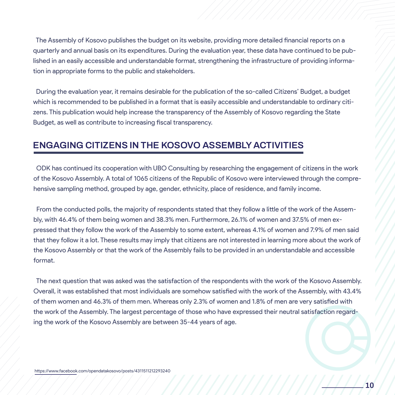The Assembly of Kosovo publishes the budget on its website, providing more detailed financial reports on a quarterly and annual basis on its expenditures. During the evaluation year, these data have continued to be published in an easily accessible and understandable format, strengthening the infrastructure of providing information in appropriate forms to the public and stakeholders.

 During the evaluation year, it remains desirable for the publication of the so-called Citizens' Budget, a budget which is recommended to be published in a format that is easily accessible and understandable to ordinary citizens. This publication would help increase the transparency of the Assembly of Kosovo regarding the State Budget, as well as contribute to increasing fiscal transparency.

#### **ENGAGING CITIZENS IN THE KOSOVO ASSEMBLY ACTIVITIES**

hensive sampling method, grouped by age, gender, ODK has continued its cooperation with UBO Consulting by researching the engagement of citizens in the work of the Kosovo Assembly. A total of 1065 citizens of the Republic of Kosovo were interviewed through the comprehensive sampling method, grouped by age, gender, ethnicity, place of residence, and family income.

From the conducted polls, the majority of respon pressed that they follow the work of<br>that they follow it a lot. These result From the conducted polls, the majority of respondents stated that they follow a little of the work of the Assembly, with 46.4% of them being women and 38.3% men. Furthermore, 26.1% of women and 37.5% of men expressed that they follow the work of the Assembly to some extent, whereas 4.1% of women and 7.9% of men said that they follow it a lot. These results may imply that citizens are not interested in learning more about the work of the Kosovo Assembly or that the work of the Assembly fails to be provided in an understandable and accessible format.

n women and 46.3% of them <mark>n</mark><br>rk of the Assembly. The larges The next question that was asked was the satisfaction of the respondents with the work of the Kosovo Assembly. Overall, it was established that most individuals are somehow satisfied with the work of the Assembly, with 43.4% of them women and 46.3% of them men. Whereas only 2.3% of women and 1.8% of men are very satisfied with the work of the Assembly. The largest percentage of those who have expressed their neutral satisfaction regarding the work of the Kosovo Assembly are between 35-44 years of age.

///////////////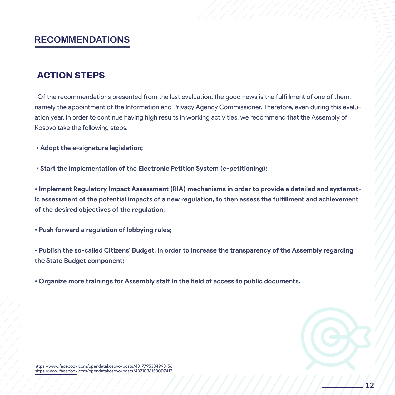#### **RECOMMENDATIONS**

#### **ACTION STEPS**

 Of the recommendations presented from the last evaluation, the good news is the fulfillment of one of them, namely the appointment of the Information and Privacy Agency Commissioner. Therefore, even during this evaluation year, in order to continue having high results in working activities, we recommend that the Assembly of Kosovo take the following steps:

• **Adopt the e-signature legislation;** 

 **• Start the implementation of the Electronic Petition System (e-petitioning);**

• Implement Regulatory Impact Assessment (RIA) mechanisms in order to provide a detailed and systematof the desired objectives of the regulation; **ic assessment of the potential impacts of a new regulation, to then assess the fulfillment and achievement of the desired objectives of the regulation;**

• Push forward a regulation of lob **• Push forward a regulation of lobbying rules;**

**• Publish the so-called Citizens' Budget, in order to increase the transparency of the Assembly regarding the State Budget component;**

**• Organize more trainings for Assembly staff in the field of access to public documents.**